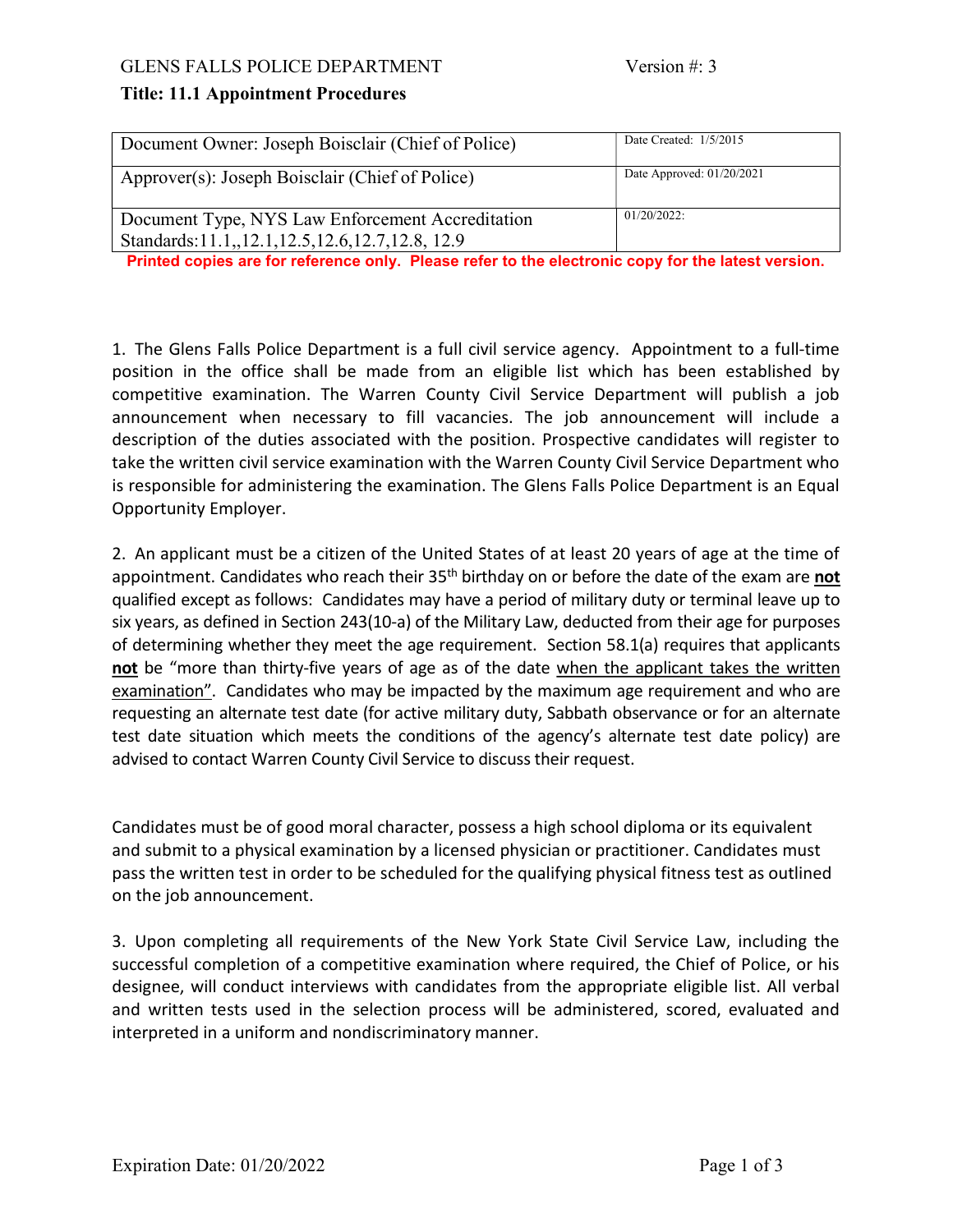## Title: 11.1 Appointment Procedures

| Document Owner: Joseph Boisclair (Chief of Police)                                                      | Date Created: $1/5/2015$    |
|---------------------------------------------------------------------------------------------------------|-----------------------------|
| Approver(s): Joseph Boisclair (Chief of Police)                                                         | Date Approved: $01/20/2021$ |
| Document Type, NYS Law Enforcement Accreditation<br>Standards: 11.1, 12.1, 12.5, 12.6, 12.7, 12.8, 12.9 | $01/20/2022$ :              |

Printed copies are for reference only. Please refer to the electronic copy for the latest version.

1. The Glens Falls Police Department is a full civil service agency. Appointment to a full-time position in the office shall be made from an eligible list which has been established by competitive examination. The Warren County Civil Service Department will publish a job announcement when necessary to fill vacancies. The job announcement will include a description of the duties associated with the position. Prospective candidates will register to take the written civil service examination with the Warren County Civil Service Department who is responsible for administering the examination. The Glens Falls Police Department is an Equal Opportunity Employer.

2. An applicant must be a citizen of the United States of at least 20 years of age at the time of appointment. Candidates who reach their  $35<sup>th</sup>$  birthday on or before the date of the exam are not qualified except as follows: Candidates may have a period of military duty or terminal leave up to six years, as defined in Section 243(10-a) of the Military Law, deducted from their age for purposes of determining whether they meet the age requirement. Section 58.1(a) requires that applicants not be "more than thirty-five years of age as of the date when the applicant takes the written examination". Candidates who may be impacted by the maximum age requirement and who are requesting an alternate test date (for active military duty, Sabbath observance or for an alternate test date situation which meets the conditions of the agency's alternate test date policy) are advised to contact Warren County Civil Service to discuss their request.

Candidates must be of good moral character, possess a high school diploma or its equivalent and submit to a physical examination by a licensed physician or practitioner. Candidates must pass the written test in order to be scheduled for the qualifying physical fitness test as outlined on the job announcement.

3. Upon completing all requirements of the New York State Civil Service Law, including the successful completion of a competitive examination where required, the Chief of Police, or his designee, will conduct interviews with candidates from the appropriate eligible list. All verbal and written tests used in the selection process will be administered, scored, evaluated and interpreted in a uniform and nondiscriminatory manner.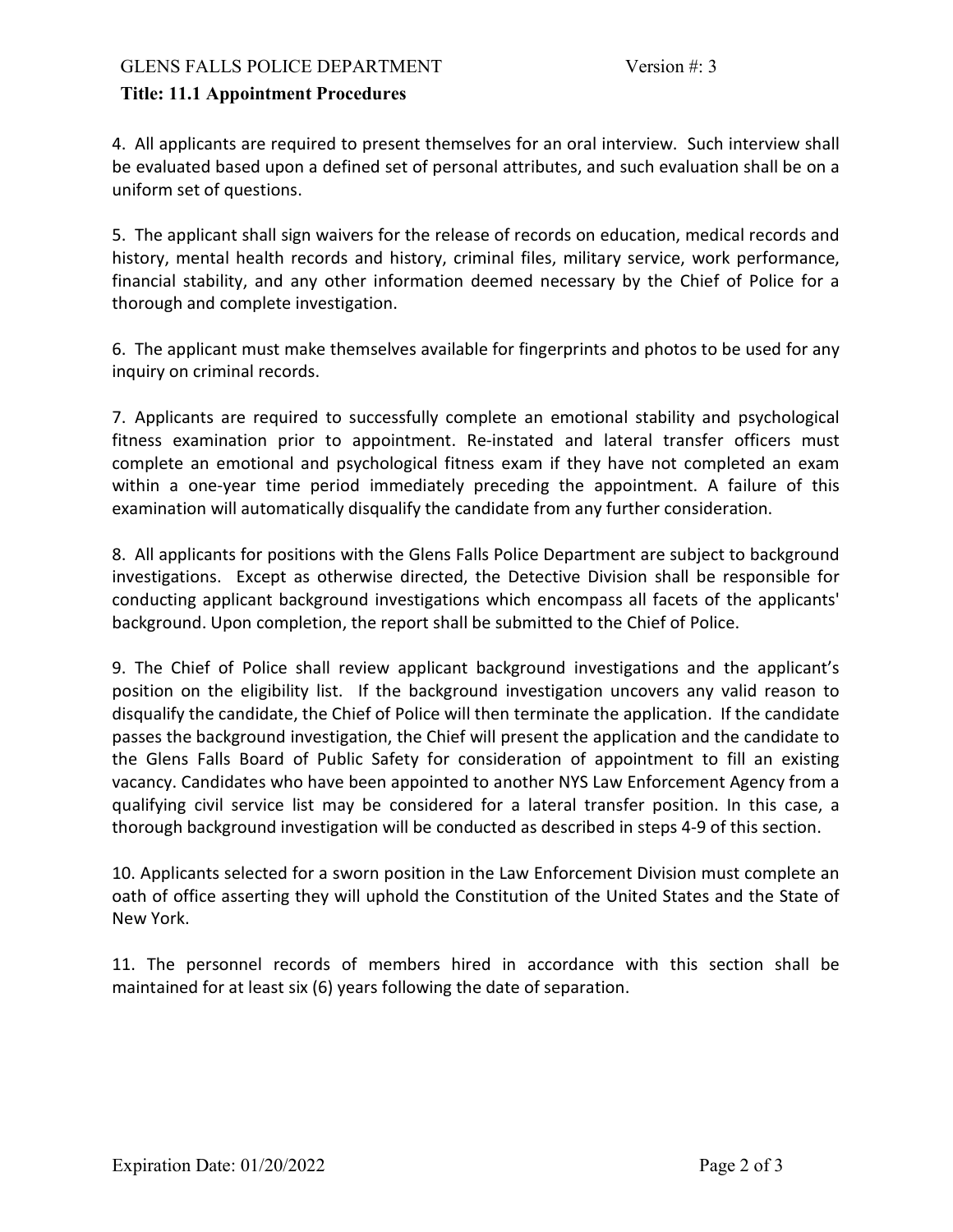## Title: 11.1 Appointment Procedures

4. All applicants are required to present themselves for an oral interview. Such interview shall be evaluated based upon a defined set of personal attributes, and such evaluation shall be on a uniform set of questions.

5. The applicant shall sign waivers for the release of records on education, medical records and history, mental health records and history, criminal files, military service, work performance, financial stability, and any other information deemed necessary by the Chief of Police for a thorough and complete investigation.

6. The applicant must make themselves available for fingerprints and photos to be used for any inquiry on criminal records.

7. Applicants are required to successfully complete an emotional stability and psychological fitness examination prior to appointment. Re-instated and lateral transfer officers must complete an emotional and psychological fitness exam if they have not completed an exam within a one-year time period immediately preceding the appointment. A failure of this examination will automatically disqualify the candidate from any further consideration.

8. All applicants for positions with the Glens Falls Police Department are subject to background investigations. Except as otherwise directed, the Detective Division shall be responsible for conducting applicant background investigations which encompass all facets of the applicants' background. Upon completion, the report shall be submitted to the Chief of Police.

9. The Chief of Police shall review applicant background investigations and the applicant's position on the eligibility list. If the background investigation uncovers any valid reason to disqualify the candidate, the Chief of Police will then terminate the application. If the candidate passes the background investigation, the Chief will present the application and the candidate to the Glens Falls Board of Public Safety for consideration of appointment to fill an existing vacancy. Candidates who have been appointed to another NYS Law Enforcement Agency from a qualifying civil service list may be considered for a lateral transfer position. In this case, a thorough background investigation will be conducted as described in steps 4-9 of this section.

10. Applicants selected for a sworn position in the Law Enforcement Division must complete an oath of office asserting they will uphold the Constitution of the United States and the State of New York.

11. The personnel records of members hired in accordance with this section shall be maintained for at least six (6) years following the date of separation.